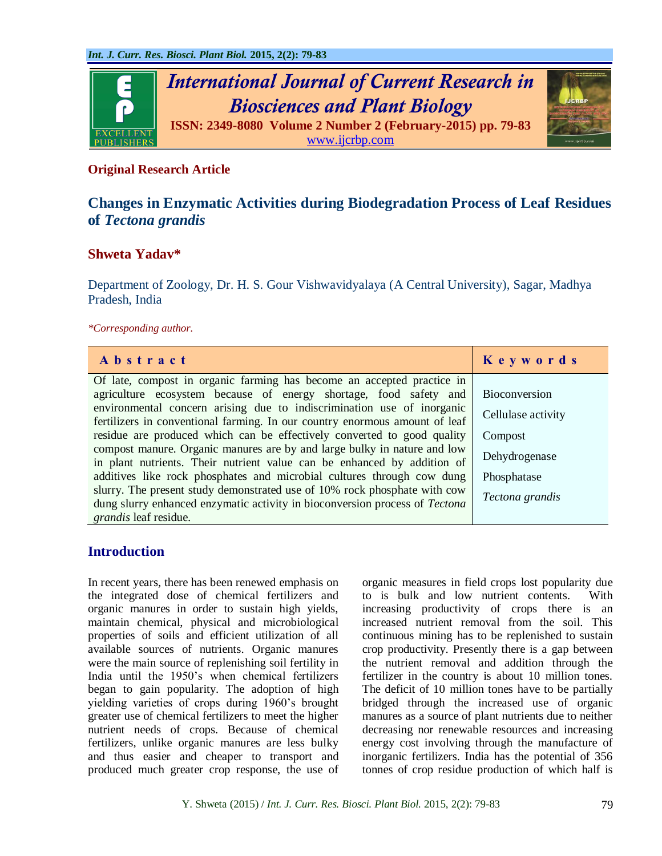

#### **Original Research Article**

# **Changes in Enzymatic Activities during Biodegradation Process of Leaf Residues of** *Tectona grandis*

#### **Shweta Yadav\***

Department of Zoology, Dr. H. S. Gour Vishwavidyalaya (A Central University), Sagar, Madhya Pradesh, India

*\*Corresponding author.*

| Abstract                                                                                                                                                 | Keywords           |
|----------------------------------------------------------------------------------------------------------------------------------------------------------|--------------------|
| Of late, compost in organic farming has become an accepted practice in                                                                                   |                    |
| agriculture ecosystem because of energy shortage, food safety and                                                                                        | Bioconversion      |
| environmental concern arising due to indiscrimination use of inorganic<br>fertilizers in conventional farming. In our country enormous amount of leaf    | Cellulase activity |
| residue are produced which can be effectively converted to good quality                                                                                  | Compost            |
| compost manure. Organic manures are by and large bulky in nature and low<br>in plant nutrients. Their nutrient value can be enhanced by addition of      | Dehydrogenase      |
| additives like rock phosphates and microbial cultures through cow dung                                                                                   | Phosphatase        |
| slurry. The present study demonstrated use of 10% rock phosphate with cow<br>dung slurry enhanced enzymatic activity in bioconversion process of Tectona | Tectona grandis    |
| grandis leaf residue.                                                                                                                                    |                    |

### **Introduction**

In recent years, there has been renewed emphasis on the integrated dose of chemical fertilizers and organic manures in order to sustain high yields, maintain chemical, physical and microbiological properties of soils and efficient utilization of all available sources of nutrients. Organic manures were the main source of replenishing soil fertility in India until the 1950's when chemical fertilizers began to gain popularity. The adoption of high yielding varieties of crops during 1960's brought greater use of chemical fertilizers to meet the higher nutrient needs of crops. Because of chemical fertilizers, unlike organic manures are less bulky and thus easier and cheaper to transport and produced much greater crop response, the use of organic measures in field crops lost popularity due to is bulk and low nutrient contents. With increasing productivity of crops there is an increased nutrient removal from the soil. This continuous mining has to be replenished to sustain crop productivity. Presently there is a gap between the nutrient removal and addition through the fertilizer in the country is about 10 million tones. The deficit of 10 million tones have to be partially bridged through the increased use of organic manures as a source of plant nutrients due to neither decreasing nor renewable resources and increasing energy cost involving through the manufacture of inorganic fertilizers. India has the potential of 356 tonnes of crop residue production of which half is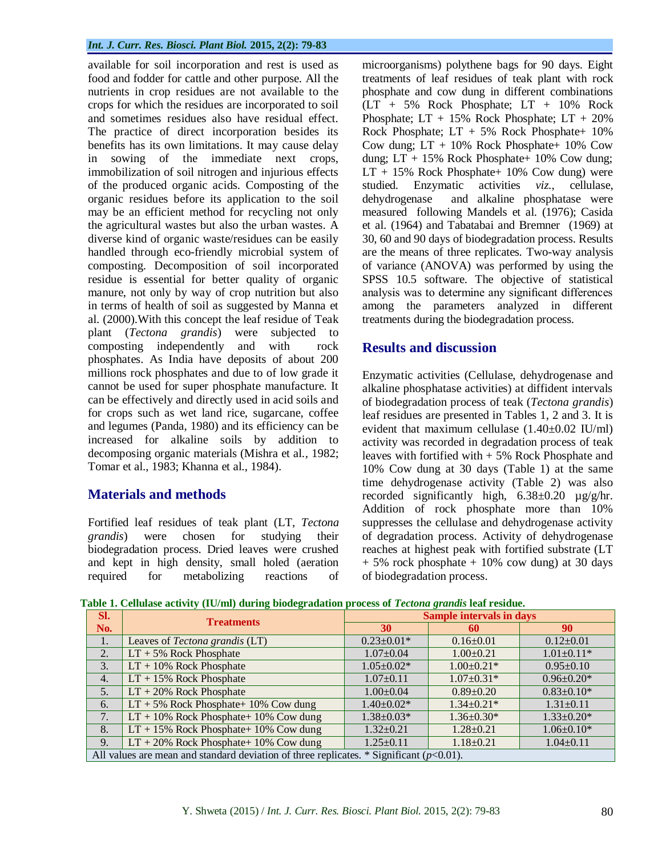#### *Int. J. Curr. Res. Biosci. Plant Biol.* **2015, 2(2): 79-83**

available for soil incorporation and rest is used as food and fodder for cattle and other purpose. All the nutrients in crop residues are not available to the crops for which the residues are incorporated to soil and sometimes residues also have residual effect. The practice of direct incorporation besides its benefits has its own limitations. It may cause delay in sowing of the immediate next crops, immobilization of soil nitrogen and injurious effects of the produced organic acids. Composting of the organic residues before its application to the soil may be an efficient method for recycling not only the agricultural wastes but also the urban wastes. A diverse kind of organic waste/residues can be easily handled through eco-friendly microbial system of composting. Decomposition of soil incorporated residue is essential for better quality of organic manure, not only by way of crop nutrition but also in terms of health of soil as suggested by Manna et al. (2000).With this concept the leaf residue of Teak plant (*Tectona grandis*) were subjected to composting independently and with rock phosphates. As India have deposits of about 200 millions rock phosphates and due to of low grade it cannot be used for super phosphate manufacture. It can be effectively and directly used in acid soils and for crops such as wet land rice, sugarcane, coffee and legumes (Panda, 1980) and its efficiency can be increased for alkaline soils by addition to decomposing organic materials (Mishra et al*.,* 1982; Tomar et al., 1983; Khanna et al., 1984).

### **Materials and methods**

Fortified leaf residues of teak plant (LT, *Tectona grandis*) were chosen for studying their biodegradation process. Dried leaves were crushed and kept in high density, small holed (aeration required for metabolizing reactions of microorganisms) polythene bags for 90 days. Eight treatments of leaf residues of teak plant with rock phosphate and cow dung in different combinations (LT + 5% Rock Phosphate; LT + 10% Rock Phosphate; LT + 15% Rock Phosphate; LT + 20% Rock Phosphate;  $LT + 5%$  Rock Phosphate+ 10% Cow dung:  $LT + 10\%$  Rock Phosphate + 10% Cow dung;  $LT + 15\%$  Rock Phosphate+ 10% Cow dung;  $LT + 15\%$  Rock Phosphate + 10% Cow dung) were studied. Enzymatic activities *viz.,* cellulase, dehydrogenase and alkaline phosphatase were measured following Mandels et al. (1976); Casida et al. (1964) and Tabatabai and Bremner (1969) at 30, 60 and 90 days of biodegradation process. Results are the means of three replicates. Two-way analysis of variance (ANOVA) was performed by using the SPSS 10.5 software. The objective of statistical analysis was to determine any significant differences among the parameters analyzed in different treatments during the biodegradation process.

### **Results and discussion**

Enzymatic activities (Cellulase, dehydrogenase and alkaline phosphatase activities) at diffident intervals of biodegradation process of teak (*Tectona grandis*) leaf residues are presented in Tables 1, 2 and 3. It is evident that maximum cellulase (1.40±0.02 IU/ml) activity was recorded in degradation process of teak leaves with fortified with + 5% Rock Phosphate and 10% Cow dung at 30 days (Table 1) at the same time dehydrogenase activity (Table 2) was also recorded significantly high, 6.38±0.20 µg/g/hr. Addition of rock phosphate more than 10% suppresses the cellulase and dehydrogenase activity of degradation process. Activity of dehydrogenase reaches at highest peak with fortified substrate (LT  $+ 5\%$  rock phosphate  $+ 10\%$  cow dung) at 30 days of biodegradation process.

|--|

| SI.                                                                                         | <b>Treatments</b>                        | <b>Sample intervals in days</b> |                  |                   |  |  |
|---------------------------------------------------------------------------------------------|------------------------------------------|---------------------------------|------------------|-------------------|--|--|
| No.                                                                                         |                                          | 30                              | 60               | 90                |  |  |
| 1.                                                                                          | Leaves of <i>Tectona grandis</i> (LT)    | $0.23 \pm 0.01*$                | $0.16 \pm 0.01$  | $0.12 \pm 0.01$   |  |  |
| 2.                                                                                          | $LT + 5\%$ Rock Phosphate                | $1.07 \pm 0.04$                 | $1.00 \pm 0.21$  | $1.01 \pm 0.11*$  |  |  |
| 3.                                                                                          | $LT + 10\%$ Rock Phosphate               | $1.05 \pm 0.02*$                | $1.00 \pm 0.21*$ | $0.95 \pm 0.10$   |  |  |
| $\overline{4}$ .                                                                            | $LT + 15\%$ Rock Phosphate               | $1.07 \pm 0.11$                 | $1.07 \pm 0.31*$ | $0.96 \pm 0.20*$  |  |  |
| 5.                                                                                          | $LT + 20\%$ Rock Phosphate               | $1.00 \pm 0.04$                 | $0.89 \pm 0.20$  | $0.83 \pm 0.10*$  |  |  |
| 6.                                                                                          | $LT + 5\%$ Rock Phosphate+ 10% Cow dung  | $1.40 \pm 0.02*$                | $1.34 \pm 0.21*$ | $1.31 \pm 0.11$   |  |  |
| 7.                                                                                          | $LT + 10\%$ Rock Phosphate+ 10% Cow dung | $1.38 \pm 0.03*$                | $1.36 \pm 0.30*$ | $1.33 \pm 0.20^*$ |  |  |
| 8.                                                                                          | $LT + 15\%$ Rock Phosphate+ 10% Cow dung | $1.32 \pm 0.21$                 | $1.28 \pm 0.21$  | $1.06 \pm 0.10*$  |  |  |
| 9.                                                                                          | $LT + 20\%$ Rock Phosphate+ 10% Cow dung | $1.25 \pm 0.11$                 | $1.18 \pm 0.21$  | $1.04 \pm 0.11$   |  |  |
| All values are mean and standard deviation of three replicates. * Significant ( $p<0.01$ ). |                                          |                                 |                  |                   |  |  |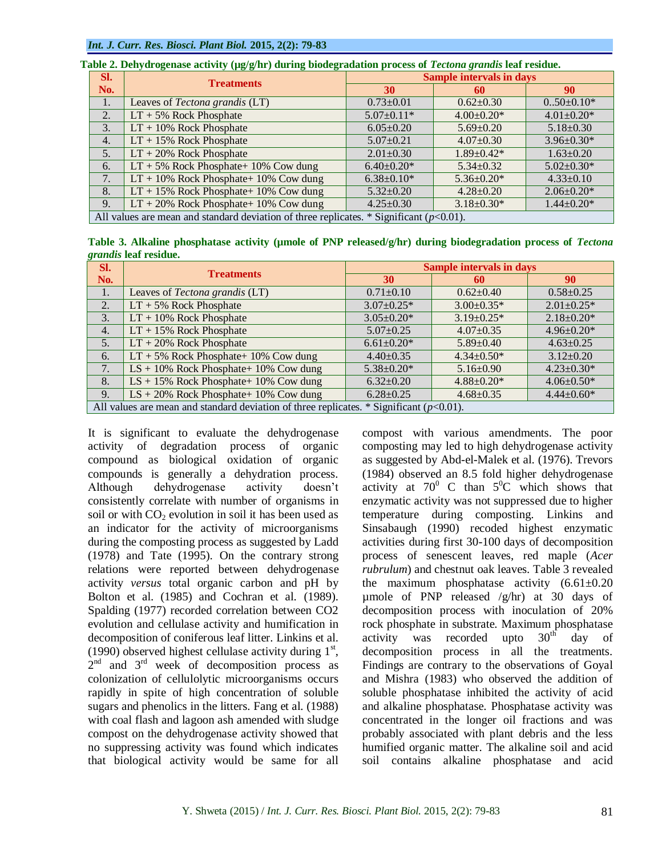| SI.                                                                                         | <b>Treatments</b>                                                                                   | <b>Sample intervals in days</b> |                  |                  |  |  |  |
|---------------------------------------------------------------------------------------------|-----------------------------------------------------------------------------------------------------|---------------------------------|------------------|------------------|--|--|--|
| No.                                                                                         |                                                                                                     | 30                              | 60               | 90               |  |  |  |
| 1.                                                                                          | Leaves of Tectona grandis (LT)                                                                      | $0.73 \pm 0.01$                 | $0.62 \pm 0.30$  | $0.50 \pm 0.10*$ |  |  |  |
| 2.                                                                                          | $LT + 5\%$ Rock Phosphate                                                                           | $5.07 \pm 0.11*$                | $4.00 \pm 0.20*$ | $4.01 \pm 0.20*$ |  |  |  |
| 3.                                                                                          | $LT + 10\%$ Rock Phosphate                                                                          | $6.05 \pm 0.20$                 | $5.69 \pm 0.20$  | $5.18 \pm 0.30$  |  |  |  |
| $\overline{4}$ .                                                                            | $LT + 15\%$ Rock Phosphate                                                                          | $5.07 \pm 0.21$                 | $4.07 \pm 0.30$  | $3.96 \pm 0.30*$ |  |  |  |
| 5.                                                                                          | $LT + 20\%$ Rock Phosphate                                                                          | $2.01 \pm 0.30$                 | $1.89 \pm 0.42*$ | $1.63 \pm 0.20$  |  |  |  |
| 6.                                                                                          | $LT + 5\%$ Rock Phosphate+ 10% Cow dung                                                             | $6.40 \pm 0.20*$                | $5.34 \pm 0.32$  | $5.02 \pm 0.30*$ |  |  |  |
| 7.                                                                                          | $LT + 10\%$ Rock Phosphate+ 10% Cow dung                                                            | $6.38 \pm 0.10^*$               | $5.36 \pm 0.20*$ | $4.33 \pm 0.10$  |  |  |  |
| 8.                                                                                          | $LT + 15\%$ Rock Phosphate+ 10% Cow dung                                                            | $5.32 \pm 0.20$                 | $4.28 \pm 0.20$  | $2.06 \pm 0.20*$ |  |  |  |
| 9.                                                                                          | $LT + 20\%$ Rock Phosphate+ 10% Cow dung<br>$3.18 \pm 0.30*$<br>$4.25 \pm 0.30$<br>$1.44 \pm 0.20*$ |                                 |                  |                  |  |  |  |
| All values are mean and standard deviation of three replicates. * Significant ( $p<0.01$ ). |                                                                                                     |                                 |                  |                  |  |  |  |

**Table 2. Dehydrogenase activity (µg/g/hr) during biodegradation process of** *Tectona grandis* **leaf residue.**

|                              |  |  |  | Table 3. Alkaline phosphatase activity (umole of PNP released/g/hr) during biodegradation process of Tectona |  |
|------------------------------|--|--|--|--------------------------------------------------------------------------------------------------------------|--|
| <i>grandis</i> leaf residue. |  |  |  |                                                                                                              |  |

| SI.                                                                                        | <b>Treatments</b>                        | <b>Sample intervals in days</b> |                   |                   |  |  |
|--------------------------------------------------------------------------------------------|------------------------------------------|---------------------------------|-------------------|-------------------|--|--|
| No.                                                                                        |                                          | 30                              | 60                | 90                |  |  |
| 1.                                                                                         | Leaves of Tectona grandis (LT)           | $0.71 \pm 0.10$                 | $0.62 \pm 0.40$   | $0.58 \pm 0.25$   |  |  |
| 2.                                                                                         | $LT + 5\%$ Rock Phosphate                | $3.07 \pm 0.25*$                | $3.00 \pm 0.35*$  | $2.01 \pm 0.25$ * |  |  |
| 3.                                                                                         | $LT + 10\%$ Rock Phosphate               | $3.05 \pm 0.20*$                | $3.19 \pm 0.25$ * | $2.18 \pm 0.20*$  |  |  |
| 4.                                                                                         | $LT + 15\%$ Rock Phosphate               | $5.07 \pm 0.25$                 | $4.07 \pm 0.35$   | $4.96 \pm 0.20*$  |  |  |
| 5.                                                                                         | $LT + 20\%$ Rock Phosphate               | $6.61 \pm 0.20*$                | $5.89 \pm 0.40$   | $4.63 \pm 0.25$   |  |  |
| 6.                                                                                         | $LT + 5\%$ Rock Phosphate+ 10% Cow dung  | $4.40 \pm 0.35$                 | $4.34 \pm 0.50^*$ | $3.12 \pm 0.20$   |  |  |
| 7.                                                                                         | $LS + 10\%$ Rock Phosphate+ 10% Cow dung | $5.38 \pm 0.20*$                | $5.16 \pm 0.90$   | $4.23 \pm 0.30^*$ |  |  |
| 8.                                                                                         | $LS + 15\%$ Rock Phosphate+ 10% Cow dung | $6.32 \pm 0.20$                 | $4.88 \pm 0.20^*$ | $4.06 \pm 0.50^*$ |  |  |
| 9.                                                                                         | $LS + 20\%$ Rock Phosphate+ 10% Cow dung | $6.28 \pm 0.25$                 | $4.68 \pm 0.35$   | $4.44 \pm 0.60*$  |  |  |
| All values are mean and standard deviation of three replicates. * Significant $(p<0.01)$ . |                                          |                                 |                   |                   |  |  |

It is significant to evaluate the dehydrogenase activity of degradation process of organic compound as biological oxidation of organic compounds is generally a dehydration process. Although dehydrogenase activity doesn't consistently correlate with number of organisms in soil or with  $CO<sub>2</sub>$  evolution in soil it has been used as an indicator for the activity of microorganisms during the composting process as suggested by Ladd (1978) and Tate (1995). On the contrary strong relations were reported between dehydrogenase activity *versus* total organic carbon and pH by Bolton et al. (1985) and Cochran et al*.* (1989). Spalding (1977) recorded correlation between CO2 evolution and cellulase activity and humification in decomposition of coniferous leaf litter. Linkins et al. (1990) observed highest cellulase activity during  $1<sup>st</sup>$ , 2<sup>nd</sup> and 3<sup>rd</sup> week of decomposition process as colonization of cellulolytic microorganisms occurs rapidly in spite of high concentration of soluble sugars and phenolics in the litters. Fang et al. (1988) with coal flash and lagoon ash amended with sludge compost on the dehydrogenase activity showed that no suppressing activity was found which indicates that biological activity would be same for all

compost with various amendments. The poor composting may led to high dehydrogenase activity as suggested by Abd-el-Malek et al. (1976). Trevors (1984) observed an 8.5 fold higher dehydrogenase activity at  $70^{\circ}$  C than  $5^{\circ}$ C which shows that enzymatic activity was not suppressed due to higher temperature during composting. Linkins and Sinsabaugh (1990) recoded highest enzymatic activities during first 30-100 days of decomposition process of senescent leaves, red maple (*Acer rubrulum*) and chestnut oak leaves. Table 3 revealed the maximum phosphatase activity  $(6.61\pm0.20)$ umole of PNP released  $/g/hr$  at 30 days of decomposition process with inoculation of 20% rock phosphate in substrate. Maximum phosphatase activity was recorded upto  $30<sup>th</sup>$  day of decomposition process in all the treatments. Findings are contrary to the observations of Goyal and Mishra (1983) who observed the addition of soluble phosphatase inhibited the activity of acid and alkaline phosphatase. Phosphatase activity was concentrated in the longer oil fractions and was probably associated with plant debris and the less humified organic matter. The alkaline soil and acid soil contains alkaline phosphatase and acid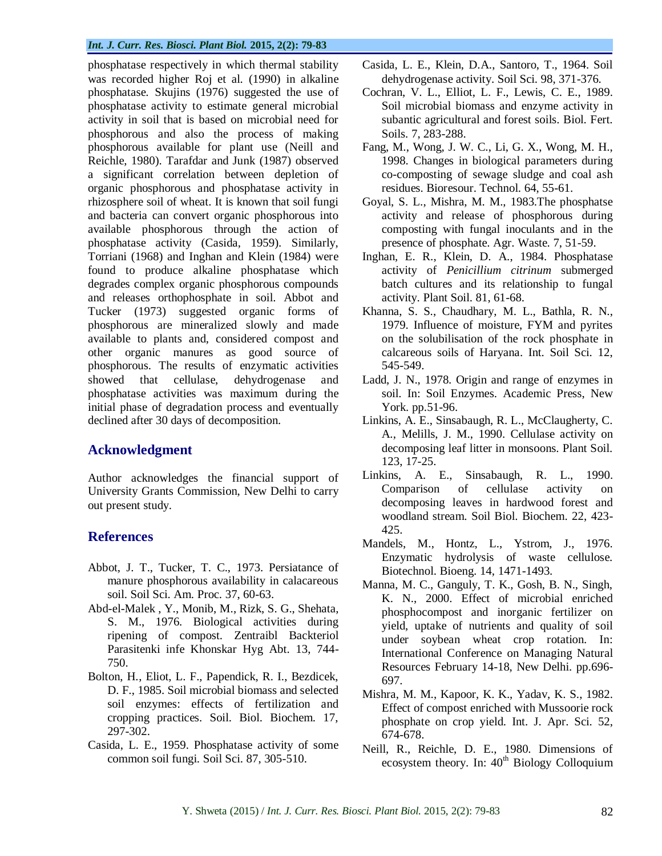#### *Int. J. Curr. Res. Biosci. Plant Biol.* **2015, 2(2): 79-83**

phosphatase respectively in which thermal stability was recorded higher Roj et al*.* (1990) in alkaline phosphatase. Skujins (1976) suggested the use of phosphatase activity to estimate general microbial activity in soil that is based on microbial need for phosphorous and also the process of making phosphorous available for plant use (Neill and Reichle, 1980). Tarafdar and Junk (1987) observed a significant correlation between depletion of organic phosphorous and phosphatase activity in rhizosphere soil of wheat. It is known that soil fungi and bacteria can convert organic phosphorous into available phosphorous through the action of phosphatase activity (Casida, 1959). Similarly, Torriani (1968) and Inghan and Klein (1984) were found to produce alkaline phosphatase which degrades complex organic phosphorous compounds and releases orthophosphate in soil. Abbot and Tucker (1973) suggested organic forms of phosphorous are mineralized slowly and made available to plants and, considered compost and other organic manures as good source of phosphorous. The results of enzymatic activities showed that cellulase, dehydrogenase and phosphatase activities was maximum during the initial phase of degradation process and eventually declined after 30 days of decomposition.

### **Acknowledgment**

Author acknowledges the financial support of University Grants Commission, New Delhi to carry out present study.

## **References**

- Abbot, J. T., Tucker, T. C., 1973. Persiatance of manure phosphorous availability in calacareous soil. Soil Sci. Am. Proc. 37, 60-63.
- Abd-el-Malek , Y., Monib, M., Rizk, S. G., Shehata, S. M., 1976. Biological activities during ripening of compost. Zentraibl Backteriol Parasitenki infe Khonskar Hyg Abt. 13, 744- 750.
- Bolton, H*.*, Eliot, L. F., Papendick, R. I., Bezdicek, D. F., 1985. Soil microbial biomass and selected soil enzymes: effects of fertilization and cropping practices. Soil. Biol. Biochem. 17, 297-302.
- Casida, L. E., 1959. Phosphatase activity of some common soil fungi. Soil Sci. 87, 305-510.
- Casida, L. E., Klein, D.A., Santoro, T., 1964. Soil dehydrogenase activity. Soil Sci. 98, 371-376.
- Cochran, V. L., Elliot, L. F., Lewis, C. E., 1989. Soil microbial biomass and enzyme activity in subantic agricultural and forest soils. Biol. Fert. Soils. 7, 283-288.
- Fang, M., Wong, J. W. C., Li, G. X., Wong, M. H., 1998. Changes in biological parameters during co-composting of sewage sludge and coal ash residues. Bioresour. Technol. 64, 55-61.
- Goyal, S. L., Mishra, M. M., 1983.The phosphatse activity and release of phosphorous during composting with fungal inoculants and in the presence of phosphate. Agr. Waste. 7, 51-59.
- Inghan, E. R., Klein, D. A., 1984. Phosphatase activity of *Penicillium citrinum* submerged batch cultures and its relationship to fungal activity. Plant Soil. 81, 61-68.
- Khanna, S. S., Chaudhary, M. L., Bathla, R. N., 1979. Influence of moisture, FYM and pyrites on the solubilisation of the rock phosphate in calcareous soils of Haryana. Int. Soil Sci. 12, 545-549.
- Ladd, J. N., 1978. Origin and range of enzymes in soil. In: Soil Enzymes. Academic Press, New York. pp.51-96.
- Linkins, A. E., Sinsabaugh, R. L., McClaugherty, C. A., Melills, J. M., 1990. Cellulase activity on decomposing leaf litter in monsoons. Plant Soil. 123, 17-25.
- Linkins, A. E., Sinsabaugh, R. L., 1990. Comparison of cellulase activity on decomposing leaves in hardwood forest and woodland stream. Soil Biol. Biochem. 22, 423- 425.
- Mandels, M., Hontz, L., Ystrom, J., 1976. Enzymatic hydrolysis of waste cellulose. Biotechnol. Bioeng. 14, 1471-1493.
- Manna, M. C., Ganguly, T. K., Gosh, B. N., Singh, K. N., 2000. Effect of microbial enriched phosphocompost and inorganic fertilizer on yield, uptake of nutrients and quality of soil under soybean wheat crop rotation. In: International Conference on Managing Natural Resources February 14-18, New Delhi. pp.696- 697.
- Mishra, M. M., Kapoor, K. K., Yadav, K. S., 1982. Effect of compost enriched with Mussoorie rock phosphate on crop yield. Int. J. Apr. Sci. 52, 674-678.
- Neill, R., Reichle, D. E., 1980. Dimensions of ecosystem theory. In:  $40<sup>th</sup>$  Biology Colloquium